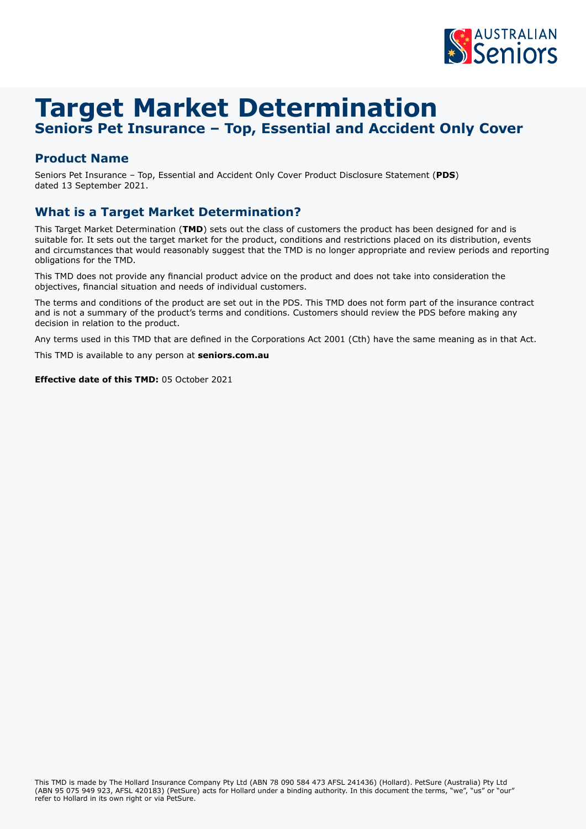

# **Target Market Determination**

# **Seniors Pet Insurance – Top, Essential and Accident Only Cover**

## **Product Name**

Seniors Pet Insurance – Top, Essential and Accident Only Cover Product Disclosure Statement (**PDS**) dated 13 September 2021.

## **What is a Target Market Determination?**

This Target Market Determination (**TMD**) sets out the class of customers the product has been designed for and is suitable for. It sets out the target market for the product, conditions and restrictions placed on its distribution, events and circumstances that would reasonably suggest that the TMD is no longer appropriate and review periods and reporting obligations for the TMD.

This TMD does not provide any financial product advice on the product and does not take into consideration the objectives, financial situation and needs of individual customers.

The terms and conditions of the product are set out in the PDS. This TMD does not form part of the insurance contract and is not a summary of the product's terms and conditions. Customers should review the PDS before making any decision in relation to the product.

Any terms used in this TMD that are defined in the Corporations Act 2001 (Cth) have the same meaning as in that Act.

This TMD is available to any person at **[seniors.com.au](http://seniors.com.au)**

**Effective date of this TMD:** 05 October 2021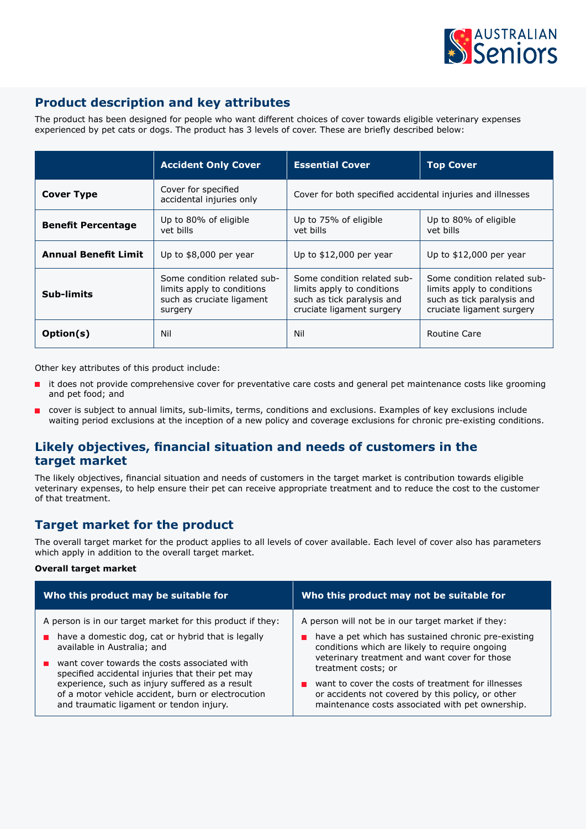

## **Product description and key attributes**

The product has been designed for people who want different choices of cover towards eligible veterinary expenses experienced by pet cats or dogs. The product has 3 levels of cover. These are briefly described below:

|                             | <b>Accident Only Cover</b>                                                                        | <b>Essential Cover</b>                                                                                               | <b>Top Cover</b>                                                                                                     |
|-----------------------------|---------------------------------------------------------------------------------------------------|----------------------------------------------------------------------------------------------------------------------|----------------------------------------------------------------------------------------------------------------------|
| <b>Cover Type</b>           | Cover for specified<br>accidental injuries only                                                   | Cover for both specified accidental injuries and illnesses                                                           |                                                                                                                      |
| <b>Benefit Percentage</b>   | Up to 80% of eligible<br>vet bills                                                                | Up to 75% of eligible<br>vet bills                                                                                   | Up to 80% of eligible<br>vet bills                                                                                   |
| <b>Annual Benefit Limit</b> | Up to \$8,000 per year                                                                            | Up to $$12,000$ per year                                                                                             | Up to $$12,000$ per year                                                                                             |
| <b>Sub-limits</b>           | Some condition related sub-<br>limits apply to conditions<br>such as cruciate ligament<br>surgery | Some condition related sub-<br>limits apply to conditions<br>such as tick paralysis and<br>cruciate ligament surgery | Some condition related sub-<br>limits apply to conditions<br>such as tick paralysis and<br>cruciate ligament surgery |
| Option(s)                   | Nil                                                                                               | Nil                                                                                                                  | Routine Care                                                                                                         |

Other key attributes of this product include:

- it does not provide comprehensive cover for preventative care costs and general pet maintenance costs like grooming and pet food; and
- cover is subject to annual limits, sub-limits, terms, conditions and exclusions. Examples of key exclusions include waiting period exclusions at the inception of a new policy and coverage exclusions for chronic pre-existing conditions.

## **Likely objectives, financial situation and needs of customers in the target market**

The likely objectives, financial situation and needs of customers in the target market is contribution towards eligible veterinary expenses, to help ensure their pet can receive appropriate treatment and to reduce the cost to the customer of that treatment.

## **Target market for the product**

The overall target market for the product applies to all levels of cover available. Each level of cover also has parameters which apply in addition to the overall target market.

#### **Overall target market**

| Who this product may be suitable for                       | Who this product may not be suitable for            |  |
|------------------------------------------------------------|-----------------------------------------------------|--|
| A person is in our target market for this product if they: | A person will not be in our target market if they:  |  |
| have a domestic dog, cat or hybrid that is legally         | have a pet which has sustained chronic pre-existing |  |
| available in Australia; and                                | conditions which are likely to require ongoing      |  |
| want cover towards the costs associated with               | veterinary treatment and want cover for those       |  |
| specified accidental injuries that their pet may           | treatment costs; or                                 |  |
| experience, such as injury suffered as a result            | want to cover the costs of treatment for illnesses  |  |
| of a motor vehicle accident, burn or electrocution         | or accidents not covered by this policy, or other   |  |
| and traumatic ligament or tendon injury.                   | maintenance costs associated with pet ownership.    |  |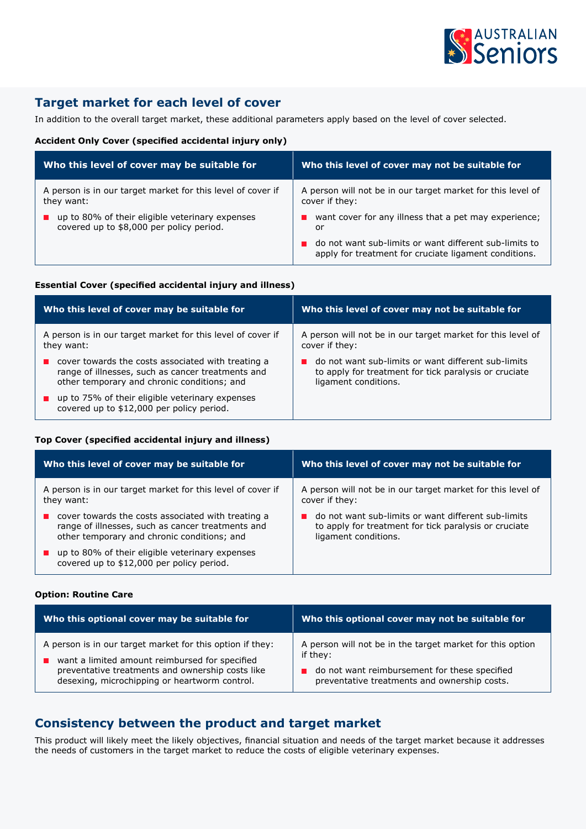

## **Target market for each level of cover**

In addition to the overall target market, these additional parameters apply based on the level of cover selected.

#### **Accident Only Cover (specified accidental injury only)**

| Who this level of cover may be suitable for                 | Who this level of cover may not be suitable for                                                                 |  |
|-------------------------------------------------------------|-----------------------------------------------------------------------------------------------------------------|--|
| A person is in our target market for this level of cover if | A person will not be in our target market for this level of                                                     |  |
| they want:                                                  | cover if they:                                                                                                  |  |
| up to 80% of their eligible veterinary expenses             | want cover for any illness that a pet may experience;                                                           |  |
| covered up to \$8,000 per policy period.                    | or                                                                                                              |  |
|                                                             | do not want sub-limits or want different sub-limits to<br>apply for treatment for cruciate ligament conditions. |  |

#### **Essential Cover (specified accidental injury and illness)**

| Who this level of cover may be suitable for                                                  | Who this level of cover may not be suitable for             |  |
|----------------------------------------------------------------------------------------------|-------------------------------------------------------------|--|
| A person is in our target market for this level of cover if                                  | A person will not be in our target market for this level of |  |
| they want:                                                                                   | cover if they:                                              |  |
| cover towards the costs associated with treating a                                           | do not want sub-limits or want different sub-limits         |  |
| range of illnesses, such as cancer treatments and                                            | to apply for treatment for tick paralysis or cruciate       |  |
| other temporary and chronic conditions; and                                                  | ligament conditions.                                        |  |
| up to 75% of their eligible veterinary expenses<br>covered up to \$12,000 per policy period. |                                                             |  |

#### **Top Cover (specified accidental injury and illness)**

| Who this level of cover may be suitable for                                                  | Who this level of cover may not be suitable for             |  |
|----------------------------------------------------------------------------------------------|-------------------------------------------------------------|--|
| A person is in our target market for this level of cover if                                  | A person will not be in our target market for this level of |  |
| they want:                                                                                   | cover if they:                                              |  |
| $\blacksquare$ cover towards the costs associated with treating a                            | do not want sub-limits or want different sub-limits         |  |
| range of illnesses, such as cancer treatments and                                            | to apply for treatment for tick paralysis or cruciate       |  |
| other temporary and chronic conditions; and                                                  | ligament conditions.                                        |  |
| up to 80% of their eligible veterinary expenses<br>covered up to \$12,000 per policy period. |                                                             |  |

#### **Option: Routine Care**

| Who this optional cover may be suitable for               | Who this optional cover may not be suitable for           |  |
|-----------------------------------------------------------|-----------------------------------------------------------|--|
| A person is in our target market for this option if they: | A person will not be in the target market for this option |  |
| want a limited amount reimbursed for specified            | if they:                                                  |  |
| preventative treatments and ownership costs like          | do not want reimbursement for these specified             |  |
| desexing, microchipping or heartworm control.             | preventative treatments and ownership costs.              |  |

### **Consistency between the product and target market**

This product will likely meet the likely objectives, financial situation and needs of the target market because it addresses the needs of customers in the target market to reduce the costs of eligible veterinary expenses.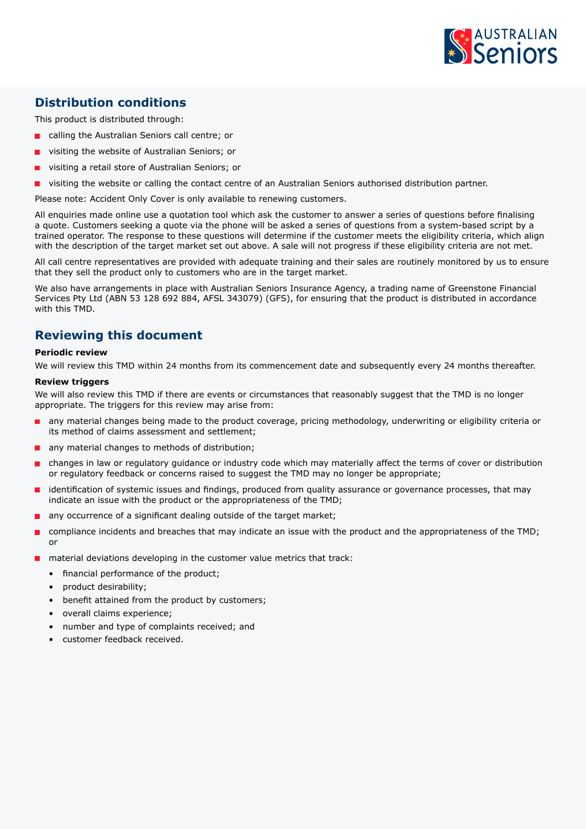

## **Distribution conditions**

This product is distributed through:

- calling the Australian Seniors call centre; or
- visiting the website of Australian Seniors; or
- visiting a retail store of Australian Seniors; or
- visiting the website or calling the contact centre of an Australian Seniors authorised distribution partner.

Please note: Accident Only Cover is only available to renewing customers.

All enquiries made online use a quotation tool which ask the customer to answer a series of questions before finalising a quote. Customers seeking a quote via the phone will be asked a series of questions from a system-based script by a trained operator. The response to these questions will determine if the customer meets the eligibility criteria, which align with the description of the target market set out above. A sale will not progress if these eligibility criteria are not met.

All call centre representatives are provided with adequate training and their sales are routinely monitored by us to ensure that they sell the product only to customers who are in the target market.

We also have arrangements in place with Australian Seniors Insurance Agency, a trading name of Greenstone Financial Services Pty Ltd (ABN 53 128 692 884, AFSL 343079) (GFS), for ensuring that the product is distributed in accordance with this TMD.

## **Reviewing this document**

#### **Periodic review**

We will review this TMD within 24 months from its commencement date and subsequently every 24 months thereafter.

#### **Review triggers**

We will also review this TMD if there are events or circumstances that reasonably suggest that the TMD is no longer appropriate. The triggers for this review may arise from:

- any material changes being made to the product coverage, pricing methodology, underwriting or eligibility criteria or its method of claims assessment and settlement;
- any material changes to methods of distribution;
- changes in law or regulatory guidance or industry code which may materially affect the terms of cover or distribution or regulatory feedback or concerns raised to suggest the TMD may no longer be appropriate;
- identification of systemic issues and findings, produced from quality assurance or governance processes, that may indicate an issue with the product or the appropriateness of the TMD;
- any occurrence of a significant dealing outside of the target market;
- compliance incidents and breaches that may indicate an issue with the product and the appropriateness of the TMD; or
- material deviations developing in the customer value metrics that track:
	- financial performance of the product;
	- product desirability;
	- benefit attained from the product by customers;
	- overall claims experience;
	- number and type of complaints received; and
	- customer feedback received.